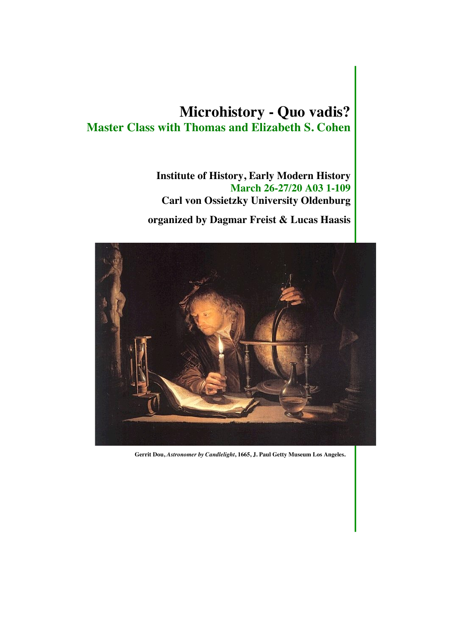# **Microhistory - Quo vadis? Master Class with Thomas and Elizabeth S. Cohen**

**Institute of History, Early Modern History March 26-27/20 A03 1-109 Carl von Ossietzky University Oldenburg**

 **organized by Dagmar Freist & Lucas Haasis**



**Gerrit Dou,** *Astronomer by Candlelight***, 1665, J. Paul Getty Museum Los Angeles.**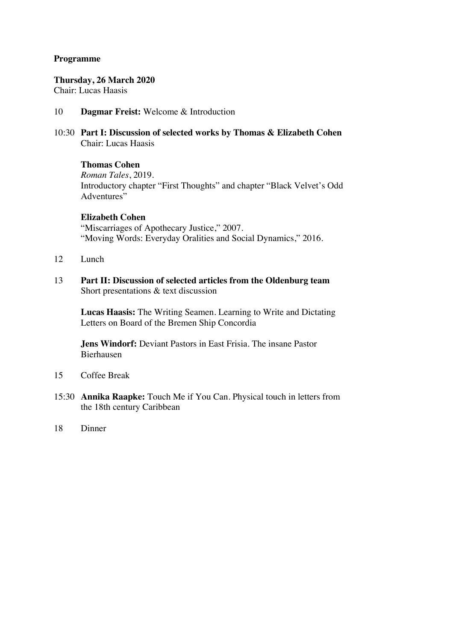#### **Programme**

#### **Thursday, 26 March 2020**

Chair: Lucas Haasis

- 10 **Dagmar Freist:** Welcome & Introduction
- 10:30 **Part I: Discussion of selected works by Thomas & Elizabeth Cohen** Chair: Lucas Haasis

#### **Thomas Cohen**

*Roman Tales*, 2019. Introductory chapter "First Thoughts" and chapter "Black Velvet's Odd Adventures"

## **Elizabeth Cohen**

"Miscarriages of Apothecary Justice," 2007. "Moving Words: Everyday Oralities and Social Dynamics," 2016.

- 12 Lunch
- 13 **Part II: Discussion of selected articles from the Oldenburg team** Short presentations & text discussion

**Lucas Haasis:** The Writing Seamen. Learning to Write and Dictating Letters on Board of the Bremen Ship Concordia

**Jens Windorf:** Deviant Pastors in East Frisia. The insane Pastor Bierhausen

- 15 Coffee Break
- 15:30 **Annika Raapke:** Touch Me if You Can. Physical touch in letters from the 18th century Caribbean
- 18 Dinner